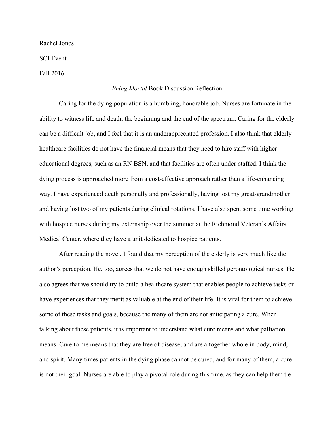Rachel Jones

SCI Event

Fall 2016

## *Being Mortal* Book Discussion Reflection

Caring for the dying population is a humbling, honorable job. Nurses are fortunate in the ability to witness life and death, the beginning and the end of the spectrum. Caring for the elderly can be a difficult job, and I feel that it is an underappreciated profession. I also think that elderly healthcare facilities do not have the financial means that they need to hire staff with higher educational degrees, such as an RN BSN, and that facilities are often under-staffed. I think the dying process is approached more from a cost-effective approach rather than a life-enhancing way. I have experienced death personally and professionally, having lost my great-grandmother and having lost two of my patients during clinical rotations. I have also spent some time working with hospice nurses during my externship over the summer at the Richmond Veteran's Affairs Medical Center, where they have a unit dedicated to hospice patients.

After reading the novel, I found that my perception of the elderly is very much like the author's perception. He, too, agrees that we do not have enough skilled gerontological nurses. He also agrees that we should try to build a healthcare system that enables people to achieve tasks or have experiences that they merit as valuable at the end of their life. It is vital for them to achieve some of these tasks and goals, because the many of them are not anticipating a cure. When talking about these patients, it is important to understand what cure means and what palliation means. Cure to me means that they are free of disease, and are altogether whole in body, mind, and spirit. Many times patients in the dying phase cannot be cured, and for many of them, a cure is not their goal. Nurses are able to play a pivotal role during this time, as they can help them tie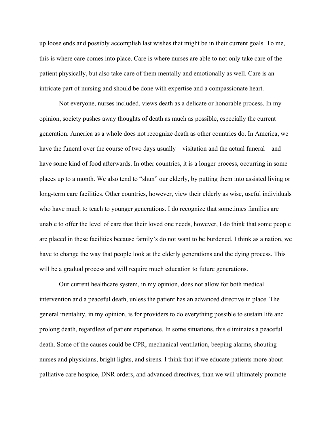up loose ends and possibly accomplish last wishes that might be in their current goals. To me, this is where care comes into place. Care is where nurses are able to not only take care of the patient physically, but also take care of them mentally and emotionally as well. Care is an intricate part of nursing and should be done with expertise and a compassionate heart.

Not everyone, nurses included, views death as a delicate or honorable process. In my opinion, society pushes away thoughts of death as much as possible, especially the current generation. America as a whole does not recognize death as other countries do. In America, we have the funeral over the course of two days usually—visitation and the actual funeral—and have some kind of food afterwards. In other countries, it is a longer process, occurring in some places up to a month. We also tend to "shun" our elderly, by putting them into assisted living or long-term care facilities. Other countries, however, view their elderly as wise, useful individuals who have much to teach to younger generations. I do recognize that sometimes families are unable to offer the level of care that their loved one needs, however, I do think that some people are placed in these facilities because family's do not want to be burdened. I think as a nation, we have to change the way that people look at the elderly generations and the dying process. This will be a gradual process and will require much education to future generations.

Our current healthcare system, in my opinion, does not allow for both medical intervention and a peaceful death, unless the patient has an advanced directive in place. The general mentality, in my opinion, is for providers to do everything possible to sustain life and prolong death, regardless of patient experience. In some situations, this eliminates a peaceful death. Some of the causes could be CPR, mechanical ventilation, beeping alarms, shouting nurses and physicians, bright lights, and sirens. I think that if we educate patients more about palliative care hospice, DNR orders, and advanced directives, than we will ultimately promote